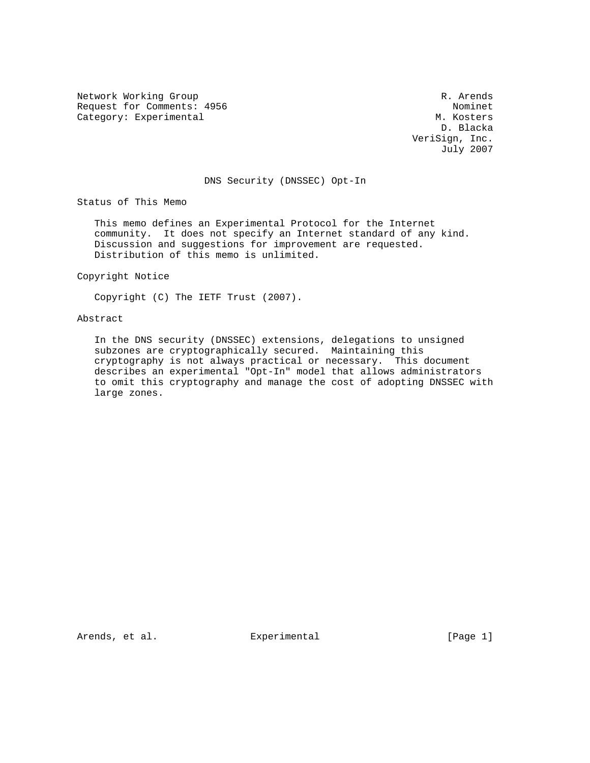Network Working Group and the contract of the contract of the R. Arends Request for Comments: 4956 Nominet Request for Comments: 4956 Nominet Request for Comments: 4956 Nominet Request Superintending and Music Superintending and Music Superintending and Music Superintending and Music Superinte Category: Experimental

 D. Blacka VeriSign, Inc. July 2007

# DNS Security (DNSSEC) Opt-In

Status of This Memo

 This memo defines an Experimental Protocol for the Internet community. It does not specify an Internet standard of any kind. Discussion and suggestions for improvement are requested. Distribution of this memo is unlimited.

Copyright Notice

Copyright (C) The IETF Trust (2007).

### Abstract

 In the DNS security (DNSSEC) extensions, delegations to unsigned subzones are cryptographically secured. Maintaining this cryptography is not always practical or necessary. This document describes an experimental "Opt-In" model that allows administrators to omit this cryptography and manage the cost of adopting DNSSEC with large zones.

Arends, et al. Experimental [Page 1]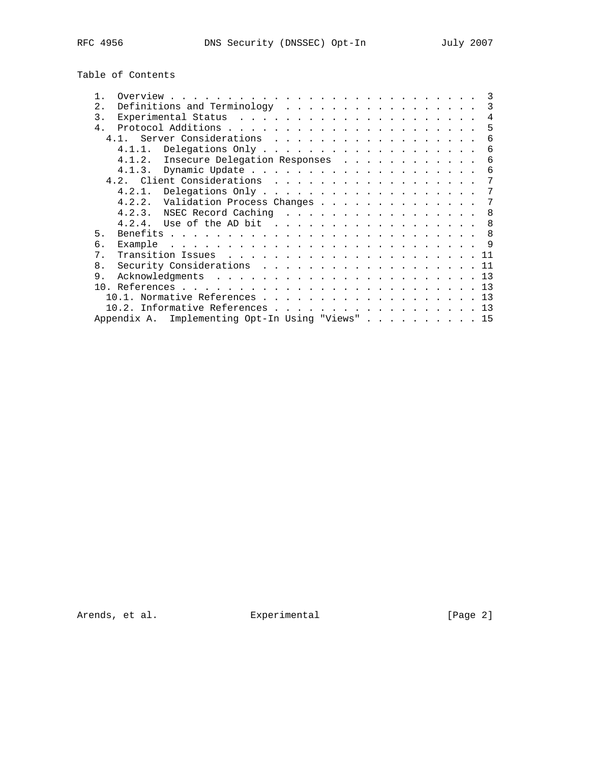| Table of Contents |  |  |  |
|-------------------|--|--|--|
|-------------------|--|--|--|

|                |           |                                               |  |  |  |  |  |  |  |  |  |  | 3   |
|----------------|-----------|-----------------------------------------------|--|--|--|--|--|--|--|--|--|--|-----|
| 2.1            |           | Definitions and Terminology                   |  |  |  |  |  |  |  |  |  |  | 3   |
| 3.             |           |                                               |  |  |  |  |  |  |  |  |  |  | 4   |
| 4 <sub>1</sub> |           |                                               |  |  |  |  |  |  |  |  |  |  | 5   |
|                | 4 1       | Server Considerations                         |  |  |  |  |  |  |  |  |  |  | 6   |
|                | $4.1.1$ . |                                               |  |  |  |  |  |  |  |  |  |  | 6   |
|                | 4.1.2.    | Insecure Delegation Responses                 |  |  |  |  |  |  |  |  |  |  | 6   |
|                |           |                                               |  |  |  |  |  |  |  |  |  |  | 6   |
|                |           |                                               |  |  |  |  |  |  |  |  |  |  | 7   |
|                | 4.2.1.    |                                               |  |  |  |  |  |  |  |  |  |  | 7   |
|                | 4.2.2.    | Validation Process Changes                    |  |  |  |  |  |  |  |  |  |  | 7   |
|                |           |                                               |  |  |  |  |  |  |  |  |  |  | 8   |
|                |           | 4.2.4. Use of the AD bit                      |  |  |  |  |  |  |  |  |  |  | 8   |
| 5.             |           |                                               |  |  |  |  |  |  |  |  |  |  | 8   |
| б.             |           |                                               |  |  |  |  |  |  |  |  |  |  | - 9 |
| $7$ .          |           |                                               |  |  |  |  |  |  |  |  |  |  |     |
| 8.             |           | Security Considerations 11                    |  |  |  |  |  |  |  |  |  |  |     |
| 9.             |           |                                               |  |  |  |  |  |  |  |  |  |  | 13  |
| 1 N            |           |                                               |  |  |  |  |  |  |  |  |  |  | 13  |
|                |           | 10.1. Normative References 13                 |  |  |  |  |  |  |  |  |  |  |     |
|                |           | 10.2. Informative References                  |  |  |  |  |  |  |  |  |  |  | 13  |
|                |           | Appendix A. Implementing Opt-In Using "Views" |  |  |  |  |  |  |  |  |  |  | 15  |
|                |           |                                               |  |  |  |  |  |  |  |  |  |  |     |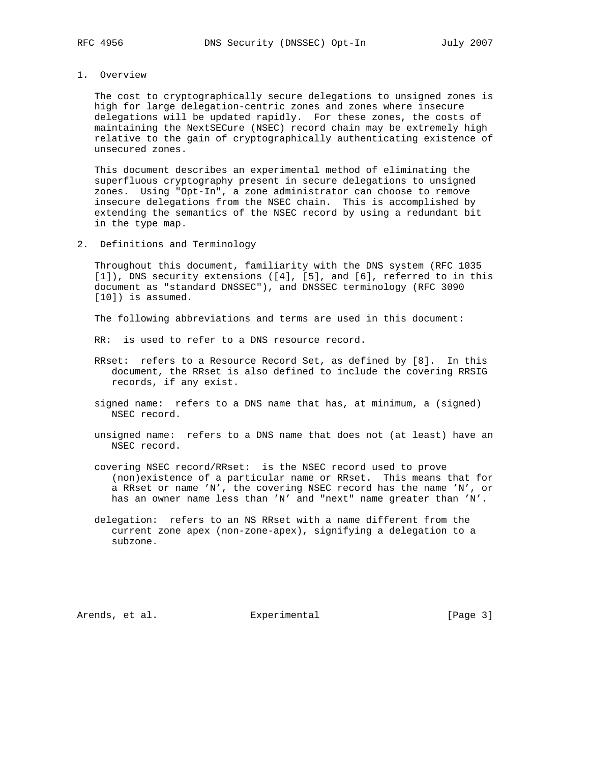#### 1. Overview

 The cost to cryptographically secure delegations to unsigned zones is high for large delegation-centric zones and zones where insecure delegations will be updated rapidly. For these zones, the costs of maintaining the NextSECure (NSEC) record chain may be extremely high relative to the gain of cryptographically authenticating existence of unsecured zones.

 This document describes an experimental method of eliminating the superfluous cryptography present in secure delegations to unsigned zones. Using "Opt-In", a zone administrator can choose to remove insecure delegations from the NSEC chain. This is accomplished by extending the semantics of the NSEC record by using a redundant bit in the type map.

2. Definitions and Terminology

 Throughout this document, familiarity with the DNS system (RFC 1035 [1]), DNS security extensions ([4], [5], and [6], referred to in this document as "standard DNSSEC"), and DNSSEC terminology (RFC 3090 [10]) is assumed.

The following abbreviations and terms are used in this document:

RR: is used to refer to a DNS resource record.

- RRset: refers to a Resource Record Set, as defined by [8]. In this document, the RRset is also defined to include the covering RRSIG records, if any exist.
- signed name: refers to a DNS name that has, at minimum, a (signed) NSEC record.
- unsigned name: refers to a DNS name that does not (at least) have an NSEC record.
- covering NSEC record/RRset: is the NSEC record used to prove (non)existence of a particular name or RRset. This means that for a RRset or name 'N', the covering NSEC record has the name 'N', or has an owner name less than 'N' and "next" name greater than 'N'.
- delegation: refers to an NS RRset with a name different from the current zone apex (non-zone-apex), signifying a delegation to a subzone.

Arends, et al. Experimental Experimental [Page 3]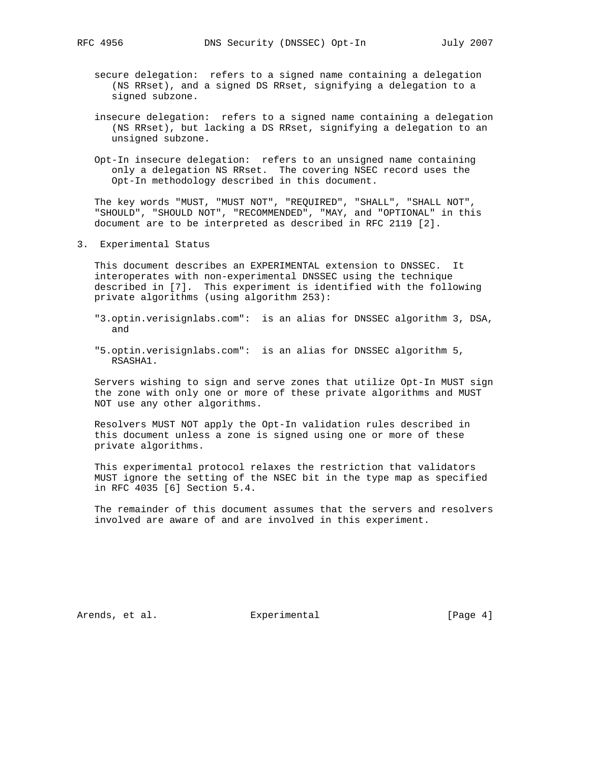- secure delegation: refers to a signed name containing a delegation (NS RRset), and a signed DS RRset, signifying a delegation to a signed subzone.
- insecure delegation: refers to a signed name containing a delegation (NS RRset), but lacking a DS RRset, signifying a delegation to an unsigned subzone.
- Opt-In insecure delegation: refers to an unsigned name containing only a delegation NS RRset. The covering NSEC record uses the Opt-In methodology described in this document.

 The key words "MUST, "MUST NOT", "REQUIRED", "SHALL", "SHALL NOT", "SHOULD", "SHOULD NOT", "RECOMMENDED", "MAY, and "OPTIONAL" in this document are to be interpreted as described in RFC 2119 [2].

3. Experimental Status

 This document describes an EXPERIMENTAL extension to DNSSEC. It interoperates with non-experimental DNSSEC using the technique described in [7]. This experiment is identified with the following private algorithms (using algorithm 253):

- "3.optin.verisignlabs.com": is an alias for DNSSEC algorithm 3, DSA, and
- "5.optin.verisignlabs.com": is an alias for DNSSEC algorithm 5, RSASHA1.

 Servers wishing to sign and serve zones that utilize Opt-In MUST sign the zone with only one or more of these private algorithms and MUST NOT use any other algorithms.

 Resolvers MUST NOT apply the Opt-In validation rules described in this document unless a zone is signed using one or more of these private algorithms.

 This experimental protocol relaxes the restriction that validators MUST ignore the setting of the NSEC bit in the type map as specified in RFC 4035 [6] Section 5.4.

 The remainder of this document assumes that the servers and resolvers involved are aware of and are involved in this experiment.

Arends, et al. Experimental Experimental [Page 4]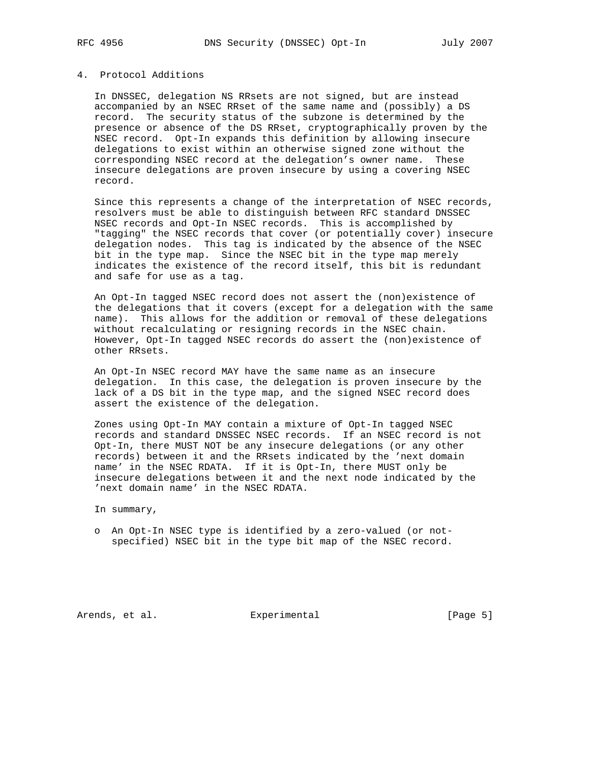### 4. Protocol Additions

 In DNSSEC, delegation NS RRsets are not signed, but are instead accompanied by an NSEC RRset of the same name and (possibly) a DS record. The security status of the subzone is determined by the presence or absence of the DS RRset, cryptographically proven by the NSEC record. Opt-In expands this definition by allowing insecure delegations to exist within an otherwise signed zone without the corresponding NSEC record at the delegation's owner name. These insecure delegations are proven insecure by using a covering NSEC record.

 Since this represents a change of the interpretation of NSEC records, resolvers must be able to distinguish between RFC standard DNSSEC NSEC records and Opt-In NSEC records. This is accomplished by "tagging" the NSEC records that cover (or potentially cover) insecure delegation nodes. This tag is indicated by the absence of the NSEC bit in the type map. Since the NSEC bit in the type map merely indicates the existence of the record itself, this bit is redundant and safe for use as a tag.

 An Opt-In tagged NSEC record does not assert the (non)existence of the delegations that it covers (except for a delegation with the same name). This allows for the addition or removal of these delegations without recalculating or resigning records in the NSEC chain. However, Opt-In tagged NSEC records do assert the (non)existence of other RRsets.

 An Opt-In NSEC record MAY have the same name as an insecure delegation. In this case, the delegation is proven insecure by the lack of a DS bit in the type map, and the signed NSEC record does assert the existence of the delegation.

 Zones using Opt-In MAY contain a mixture of Opt-In tagged NSEC records and standard DNSSEC NSEC records. If an NSEC record is not Opt-In, there MUST NOT be any insecure delegations (or any other records) between it and the RRsets indicated by the 'next domain name' in the NSEC RDATA. If it is Opt-In, there MUST only be insecure delegations between it and the next node indicated by the 'next domain name' in the NSEC RDATA.

In summary,

 o An Opt-In NSEC type is identified by a zero-valued (or not specified) NSEC bit in the type bit map of the NSEC record.

Arends, et al. Experimental Experimental [Page 5]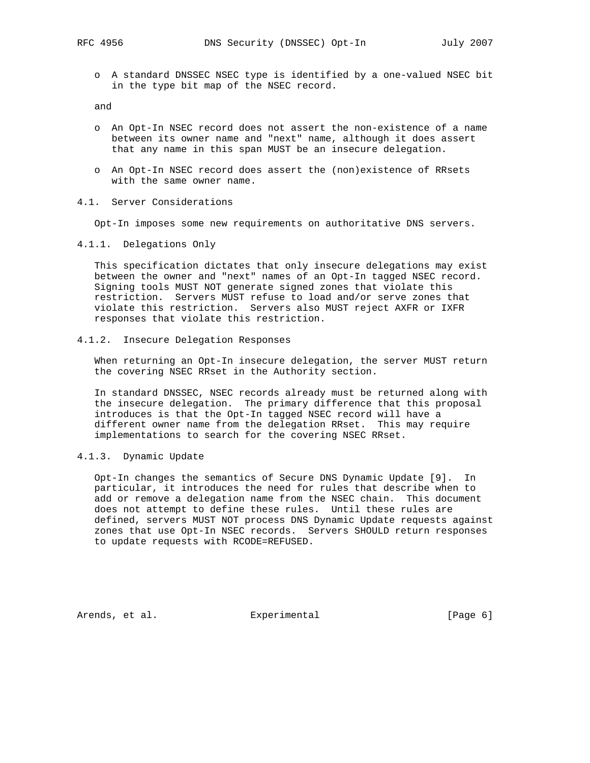o A standard DNSSEC NSEC type is identified by a one-valued NSEC bit in the type bit map of the NSEC record.

and

- o An Opt-In NSEC record does not assert the non-existence of a name between its owner name and "next" name, although it does assert that any name in this span MUST be an insecure delegation.
- o An Opt-In NSEC record does assert the (non)existence of RRsets with the same owner name.
- 4.1. Server Considerations

Opt-In imposes some new requirements on authoritative DNS servers.

4.1.1. Delegations Only

 This specification dictates that only insecure delegations may exist between the owner and "next" names of an Opt-In tagged NSEC record. Signing tools MUST NOT generate signed zones that violate this restriction. Servers MUST refuse to load and/or serve zones that violate this restriction. Servers also MUST reject AXFR or IXFR responses that violate this restriction.

4.1.2. Insecure Delegation Responses

 When returning an Opt-In insecure delegation, the server MUST return the covering NSEC RRset in the Authority section.

 In standard DNSSEC, NSEC records already must be returned along with the insecure delegation. The primary difference that this proposal introduces is that the Opt-In tagged NSEC record will have a different owner name from the delegation RRset. This may require implementations to search for the covering NSEC RRset.

4.1.3. Dynamic Update

 Opt-In changes the semantics of Secure DNS Dynamic Update [9]. In particular, it introduces the need for rules that describe when to add or remove a delegation name from the NSEC chain. This document does not attempt to define these rules. Until these rules are defined, servers MUST NOT process DNS Dynamic Update requests against zones that use Opt-In NSEC records. Servers SHOULD return responses to update requests with RCODE=REFUSED.

Arends, et al. Experimental Experimental [Page 6]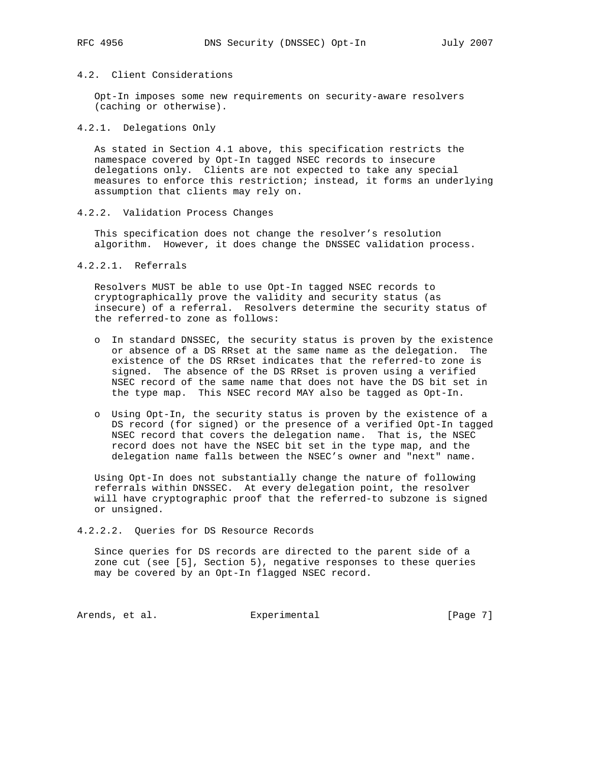## 4.2. Client Considerations

 Opt-In imposes some new requirements on security-aware resolvers (caching or otherwise).

### 4.2.1. Delegations Only

 As stated in Section 4.1 above, this specification restricts the namespace covered by Opt-In tagged NSEC records to insecure delegations only. Clients are not expected to take any special measures to enforce this restriction; instead, it forms an underlying assumption that clients may rely on.

### 4.2.2. Validation Process Changes

 This specification does not change the resolver's resolution algorithm. However, it does change the DNSSEC validation process.

### 4.2.2.1. Referrals

 Resolvers MUST be able to use Opt-In tagged NSEC records to cryptographically prove the validity and security status (as insecure) of a referral. Resolvers determine the security status of the referred-to zone as follows:

- o In standard DNSSEC, the security status is proven by the existence or absence of a DS RRset at the same name as the delegation. The existence of the DS RRset indicates that the referred-to zone is signed. The absence of the DS RRset is proven using a verified NSEC record of the same name that does not have the DS bit set in the type map. This NSEC record MAY also be tagged as Opt-In.
- o Using Opt-In, the security status is proven by the existence of a DS record (for signed) or the presence of a verified Opt-In tagged NSEC record that covers the delegation name. That is, the NSEC record does not have the NSEC bit set in the type map, and the delegation name falls between the NSEC's owner and "next" name.

 Using Opt-In does not substantially change the nature of following referrals within DNSSEC. At every delegation point, the resolver will have cryptographic proof that the referred-to subzone is signed or unsigned.

4.2.2.2. Queries for DS Resource Records

 Since queries for DS records are directed to the parent side of a zone cut (see [5], Section 5), negative responses to these queries may be covered by an Opt-In flagged NSEC record.

Arends, et al.  $\qquad \qquad$  Experimental  $\qquad \qquad$  [Page 7]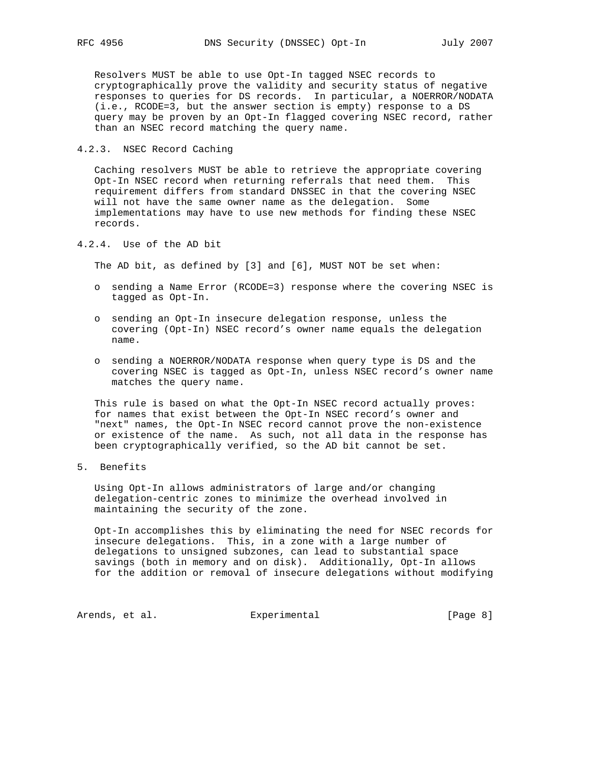Resolvers MUST be able to use Opt-In tagged NSEC records to cryptographically prove the validity and security status of negative responses to queries for DS records. In particular, a NOERROR/NODATA (i.e., RCODE=3, but the answer section is empty) response to a DS query may be proven by an Opt-In flagged covering NSEC record, rather than an NSEC record matching the query name.

4.2.3. NSEC Record Caching

 Caching resolvers MUST be able to retrieve the appropriate covering Opt-In NSEC record when returning referrals that need them. This requirement differs from standard DNSSEC in that the covering NSEC will not have the same owner name as the delegation. Some implementations may have to use new methods for finding these NSEC records.

4.2.4. Use of the AD bit

The AD bit, as defined by [3] and [6], MUST NOT be set when:

- o sending a Name Error (RCODE=3) response where the covering NSEC is tagged as Opt-In.
- o sending an Opt-In insecure delegation response, unless the covering (Opt-In) NSEC record's owner name equals the delegation name.
- o sending a NOERROR/NODATA response when query type is DS and the covering NSEC is tagged as Opt-In, unless NSEC record's owner name matches the query name.

 This rule is based on what the Opt-In NSEC record actually proves: for names that exist between the Opt-In NSEC record's owner and "next" names, the Opt-In NSEC record cannot prove the non-existence or existence of the name. As such, not all data in the response has been cryptographically verified, so the AD bit cannot be set.

5. Benefits

 Using Opt-In allows administrators of large and/or changing delegation-centric zones to minimize the overhead involved in maintaining the security of the zone.

 Opt-In accomplishes this by eliminating the need for NSEC records for insecure delegations. This, in a zone with a large number of delegations to unsigned subzones, can lead to substantial space savings (both in memory and on disk). Additionally, Opt-In allows for the addition or removal of insecure delegations without modifying

Arends, et al. Experimental Experimental [Page 8]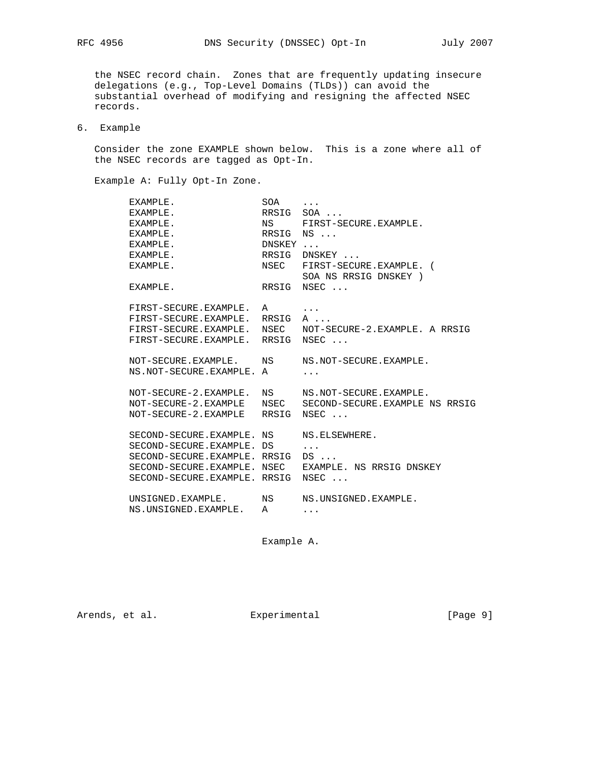the NSEC record chain. Zones that are frequently updating insecure delegations (e.g., Top-Level Domains (TLDs)) can avoid the substantial overhead of modifying and resigning the affected NSEC records.

## 6. Example

 Consider the zone EXAMPLE shown below. This is a zone where all of the NSEC records are tagged as Opt-In.

Example A: Fully Opt-In Zone.

| EXAMPLE.             | SOA                   | $\cdots$                                                                                                                                                                                                                                                                                                                                                                                                                                     |
|----------------------|-----------------------|----------------------------------------------------------------------------------------------------------------------------------------------------------------------------------------------------------------------------------------------------------------------------------------------------------------------------------------------------------------------------------------------------------------------------------------------|
| EXAMPLE.             |                       | RRSIG SOA                                                                                                                                                                                                                                                                                                                                                                                                                                    |
| EXAMPLE.             |                       | NS FIRST-SECURE.EXAMPLE.                                                                                                                                                                                                                                                                                                                                                                                                                     |
| EXAMPLE.             |                       | RRSIG NS                                                                                                                                                                                                                                                                                                                                                                                                                                     |
| EXAMPLE.             |                       |                                                                                                                                                                                                                                                                                                                                                                                                                                              |
| EXAMPLE.             |                       | RRSIG DNSKEY                                                                                                                                                                                                                                                                                                                                                                                                                                 |
| EXAMPLE.             |                       | NSEC FIRST-SECURE.EXAMPLE. (<br>SOA NS RRSIG DNSKEY )                                                                                                                                                                                                                                                                                                                                                                                        |
| EXAMPLE.             |                       | RRSIG NSEC                                                                                                                                                                                                                                                                                                                                                                                                                                   |
|                      |                       | $\cdot$ $\cdot$ $\cdot$                                                                                                                                                                                                                                                                                                                                                                                                                      |
|                      |                       | A                                                                                                                                                                                                                                                                                                                                                                                                                                            |
|                      |                       | NOT-SECURE-2.EXAMPLE. A RRSIG                                                                                                                                                                                                                                                                                                                                                                                                                |
|                      |                       | NSEC                                                                                                                                                                                                                                                                                                                                                                                                                                         |
|                      |                       | NS.NOT-SECURE.EXAMPLE.                                                                                                                                                                                                                                                                                                                                                                                                                       |
|                      |                       |                                                                                                                                                                                                                                                                                                                                                                                                                                              |
|                      |                       |                                                                                                                                                                                                                                                                                                                                                                                                                                              |
|                      |                       | NS.NOT-SECURE.EXAMPLE.                                                                                                                                                                                                                                                                                                                                                                                                                       |
|                      |                       | SECOND-SECURE.EXAMPLE NS RRSIG<br>NSEC                                                                                                                                                                                                                                                                                                                                                                                                       |
|                      |                       |                                                                                                                                                                                                                                                                                                                                                                                                                                              |
|                      |                       | NS.ELSEWHERE.                                                                                                                                                                                                                                                                                                                                                                                                                                |
|                      |                       | $\cdot$ $\cdot$ $\cdot$                                                                                                                                                                                                                                                                                                                                                                                                                      |
|                      |                       | $DS \ldots$                                                                                                                                                                                                                                                                                                                                                                                                                                  |
|                      |                       | EXAMPLE. NS RRSIG DNSKEY                                                                                                                                                                                                                                                                                                                                                                                                                     |
|                      |                       | NSEC                                                                                                                                                                                                                                                                                                                                                                                                                                         |
|                      |                       | NS.UNSIGNED.EXAMPLE.                                                                                                                                                                                                                                                                                                                                                                                                                         |
| NS.UNSIGNED.EXAMPLE. | A                     | $\cdots$                                                                                                                                                                                                                                                                                                                                                                                                                                     |
|                      | NOT-SECURE-2.EXAMPLE. | DNSKEY<br>FIRST-SECURE.EXAMPLE.<br>A<br>FIRST-SECURE.EXAMPLE. RRSIG<br>FIRST-SECURE.EXAMPLE. NSEC<br>FIRST-SECURE.EXAMPLE. RRSIG<br>NOT-SECURE.EXAMPLE. NS<br>NS.NOT-SECURE.EXAMPLE. A<br>NS<br>NOT-SECURE-2.EXAMPLE<br>NSEC<br>NOT-SECURE-2.EXAMPLE RRSIG<br>SECOND-SECURE.EXAMPLE. NS<br>SECOND-SECURE.EXAMPLE. DS<br>SECOND-SECURE.EXAMPLE. RRSIG<br>SECOND-SECURE.EXAMPLE. NSEC<br>SECOND-SECURE.EXAMPLE. RRSIG<br>UNSIGNED. EXAMPLE. NS |

Example A.

Arends, et al. Experimental Experimental [Page 9]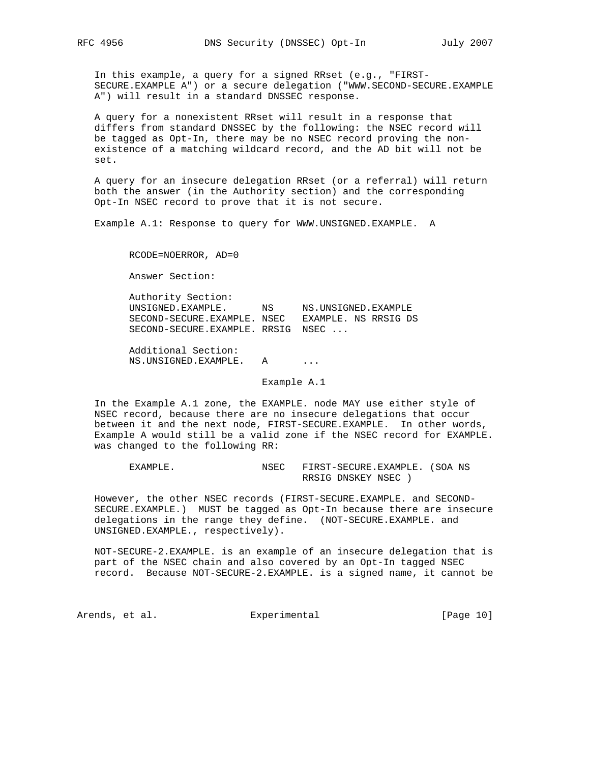In this example, a query for a signed RRset (e.g., "FIRST- SECURE.EXAMPLE A") or a secure delegation ("WWW.SECOND-SECURE.EXAMPLE A") will result in a standard DNSSEC response.

 A query for a nonexistent RRset will result in a response that differs from standard DNSSEC by the following: the NSEC record will be tagged as Opt-In, there may be no NSEC record proving the non existence of a matching wildcard record, and the AD bit will not be set.

 A query for an insecure delegation RRset (or a referral) will return both the answer (in the Authority section) and the corresponding Opt-In NSEC record to prove that it is not secure.

Example A.1: Response to query for WWW.UNSIGNED.EXAMPLE. A

RCODE=NOERROR, AD=0

Answer Section:

 Authority Section: UNSIGNED.EXAMPLE. NS NS.UNSIGNED.EXAMPLE SECOND-SECURE.EXAMPLE. NSEC EXAMPLE. NS RRSIG DS SECOND-SECURE.EXAMPLE. RRSIG NSEC ...

 Additional Section: NS.UNSIGNED.EXAMPLE. A ...

Example A.1

 In the Example A.1 zone, the EXAMPLE. node MAY use either style of NSEC record, because there are no insecure delegations that occur between it and the next node, FIRST-SECURE.EXAMPLE. In other words, Example A would still be a valid zone if the NSEC record for EXAMPLE. was changed to the following RR:

EXAMPLE. NSEC FIRST-SECURE. EXAMPLE. (SOA NS RRSIG DNSKEY NSEC )

 However, the other NSEC records (FIRST-SECURE.EXAMPLE. and SECOND- SECURE.EXAMPLE.) MUST be tagged as Opt-In because there are insecure delegations in the range they define. (NOT-SECURE.EXAMPLE. and UNSIGNED.EXAMPLE., respectively).

 NOT-SECURE-2.EXAMPLE. is an example of an insecure delegation that is part of the NSEC chain and also covered by an Opt-In tagged NSEC record. Because NOT-SECURE-2.EXAMPLE. is a signed name, it cannot be

Arends, et al. Experimental [Page 10]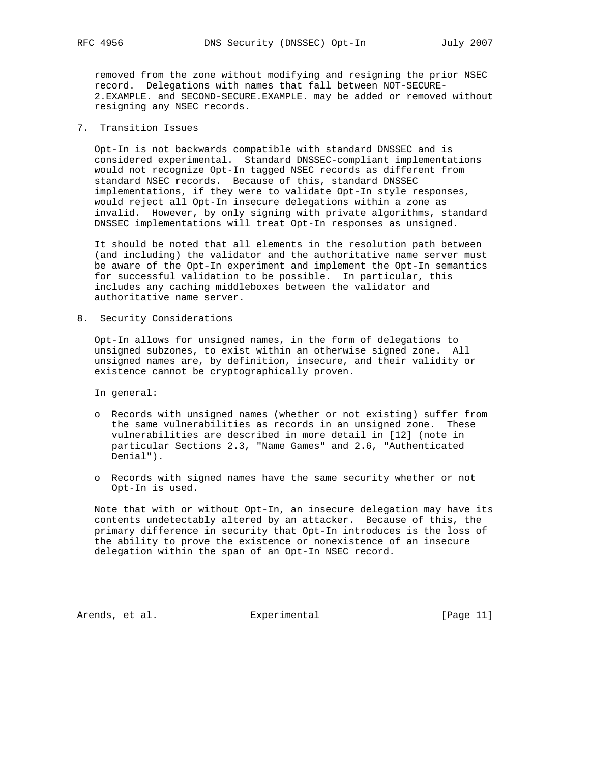removed from the zone without modifying and resigning the prior NSEC record. Delegations with names that fall between NOT-SECURE- 2.EXAMPLE. and SECOND-SECURE.EXAMPLE. may be added or removed without resigning any NSEC records.

## 7. Transition Issues

 Opt-In is not backwards compatible with standard DNSSEC and is considered experimental. Standard DNSSEC-compliant implementations would not recognize Opt-In tagged NSEC records as different from standard NSEC records. Because of this, standard DNSSEC implementations, if they were to validate Opt-In style responses, would reject all Opt-In insecure delegations within a zone as invalid. However, by only signing with private algorithms, standard DNSSEC implementations will treat Opt-In responses as unsigned.

 It should be noted that all elements in the resolution path between (and including) the validator and the authoritative name server must be aware of the Opt-In experiment and implement the Opt-In semantics for successful validation to be possible. In particular, this includes any caching middleboxes between the validator and authoritative name server.

8. Security Considerations

 Opt-In allows for unsigned names, in the form of delegations to unsigned subzones, to exist within an otherwise signed zone. All unsigned names are, by definition, insecure, and their validity or existence cannot be cryptographically proven.

In general:

- o Records with unsigned names (whether or not existing) suffer from the same vulnerabilities as records in an unsigned zone. These vulnerabilities are described in more detail in [12] (note in particular Sections 2.3, "Name Games" and 2.6, "Authenticated Denial").
- o Records with signed names have the same security whether or not Opt-In is used.

 Note that with or without Opt-In, an insecure delegation may have its contents undetectably altered by an attacker. Because of this, the primary difference in security that Opt-In introduces is the loss of the ability to prove the existence or nonexistence of an insecure delegation within the span of an Opt-In NSEC record.

Arends, et al. Experimental [Page 11]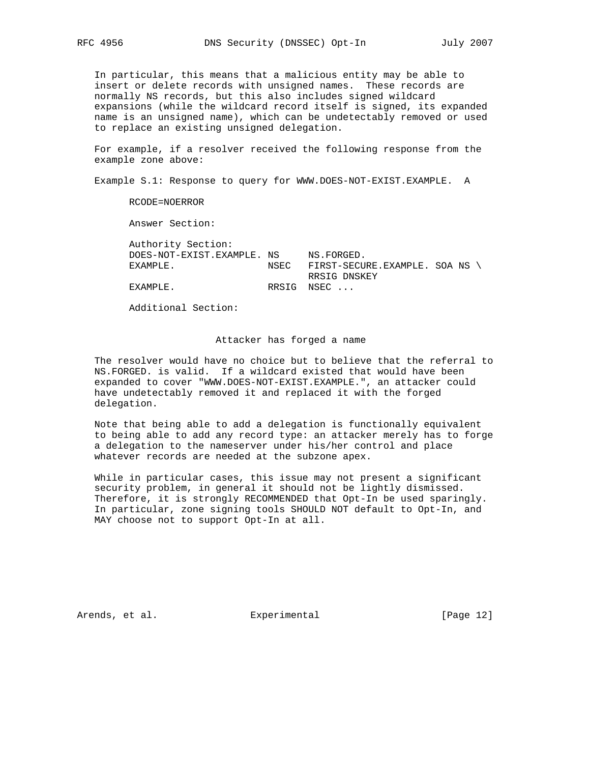In particular, this means that a malicious entity may be able to insert or delete records with unsigned names. These records are normally NS records, but this also includes signed wildcard expansions (while the wildcard record itself is signed, its expanded name is an unsigned name), which can be undetectably removed or used to replace an existing unsigned delegation.

 For example, if a resolver received the following response from the example zone above:

Example S.1: Response to query for WWW.DOES-NOT-EXIST.EXAMPLE. A

RCODE=NOERROR

Answer Section:

 Authority Section: DOES-NOT-EXIST.EXAMPLE. NS NS.FORGED. EXAMPLE. NSEC FIRST-SECURE.EXAMPLE. SOA NS RRSIG DNSKEY EXAMPLE. RRSIG NSEC ...

Additional Section:

### Attacker has forged a name

 The resolver would have no choice but to believe that the referral to NS.FORGED. is valid. If a wildcard existed that would have been expanded to cover "WWW.DOES-NOT-EXIST.EXAMPLE.", an attacker could have undetectably removed it and replaced it with the forged delegation.

 Note that being able to add a delegation is functionally equivalent to being able to add any record type: an attacker merely has to forge a delegation to the nameserver under his/her control and place whatever records are needed at the subzone apex.

 While in particular cases, this issue may not present a significant security problem, in general it should not be lightly dismissed. Therefore, it is strongly RECOMMENDED that Opt-In be used sparingly. In particular, zone signing tools SHOULD NOT default to Opt-In, and MAY choose not to support Opt-In at all.

Arends, et al. Experimental [Page 12]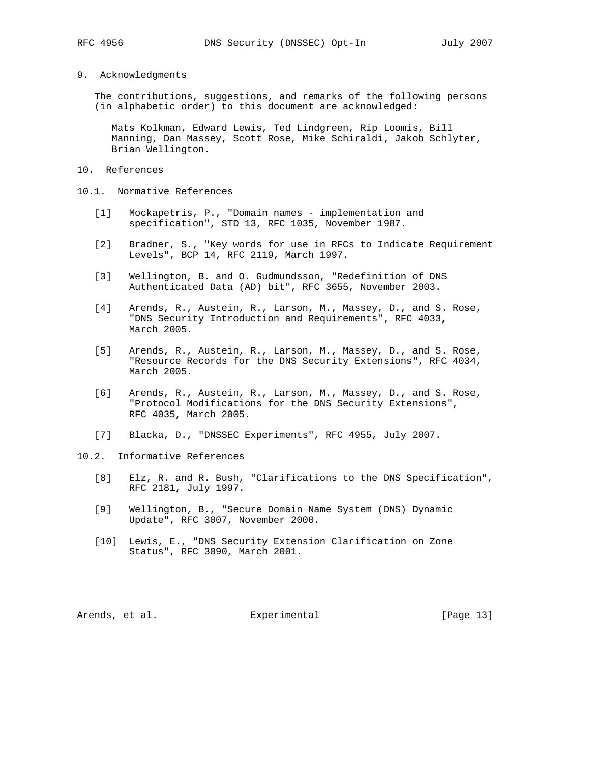#### 9. Acknowledgments

 The contributions, suggestions, and remarks of the following persons (in alphabetic order) to this document are acknowledged:

 Mats Kolkman, Edward Lewis, Ted Lindgreen, Rip Loomis, Bill Manning, Dan Massey, Scott Rose, Mike Schiraldi, Jakob Schlyter, Brian Wellington.

- 10. References
- 10.1. Normative References
	- [1] Mockapetris, P., "Domain names implementation and specification", STD 13, RFC 1035, November 1987.
	- [2] Bradner, S., "Key words for use in RFCs to Indicate Requirement Levels", BCP 14, RFC 2119, March 1997.
	- [3] Wellington, B. and O. Gudmundsson, "Redefinition of DNS Authenticated Data (AD) bit", RFC 3655, November 2003.
	- [4] Arends, R., Austein, R., Larson, M., Massey, D., and S. Rose, "DNS Security Introduction and Requirements", RFC 4033, March 2005.
	- [5] Arends, R., Austein, R., Larson, M., Massey, D., and S. Rose, "Resource Records for the DNS Security Extensions", RFC 4034, March 2005.
	- [6] Arends, R., Austein, R., Larson, M., Massey, D., and S. Rose, "Protocol Modifications for the DNS Security Extensions", RFC 4035, March 2005.
	- [7] Blacka, D., "DNSSEC Experiments", RFC 4955, July 2007.
- 10.2. Informative References
	- [8] Elz, R. and R. Bush, "Clarifications to the DNS Specification", RFC 2181, July 1997.
	- [9] Wellington, B., "Secure Domain Name System (DNS) Dynamic Update", RFC 3007, November 2000.
	- [10] Lewis, E., "DNS Security Extension Clarification on Zone Status", RFC 3090, March 2001.

Arends, et al. Experimental [Page 13]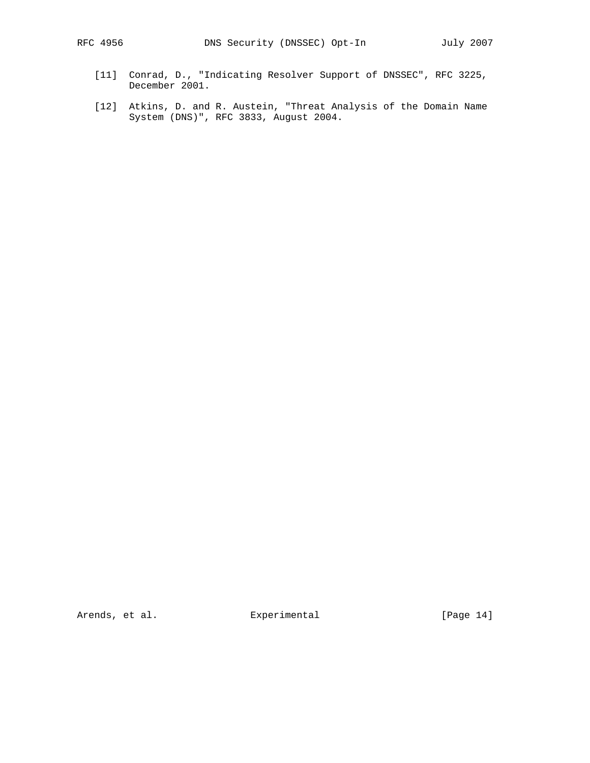- [11] Conrad, D., "Indicating Resolver Support of DNSSEC", RFC 3225, December 2001.
- [12] Atkins, D. and R. Austein, "Threat Analysis of the Domain Name System (DNS)", RFC 3833, August 2004.

Arends, et al. **Experimental** [Page 14]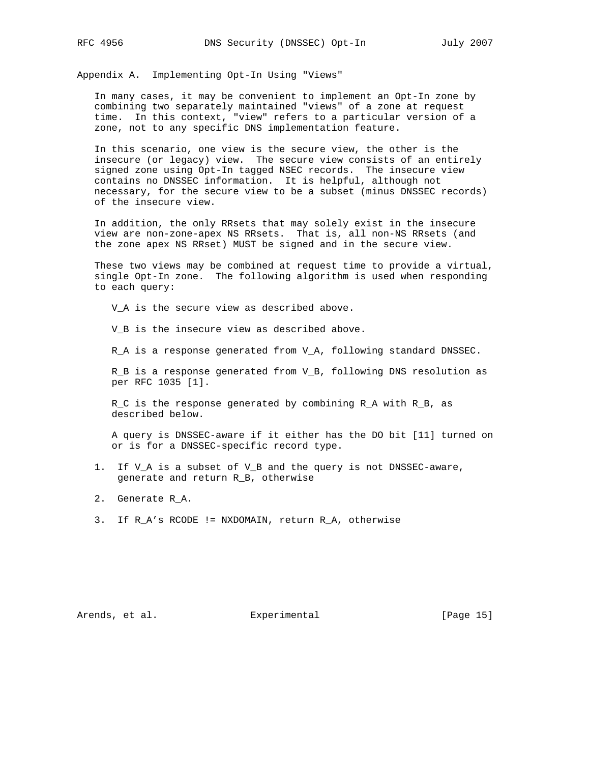Appendix A. Implementing Opt-In Using "Views"

 In many cases, it may be convenient to implement an Opt-In zone by combining two separately maintained "views" of a zone at request time. In this context, "view" refers to a particular version of a zone, not to any specific DNS implementation feature.

 In this scenario, one view is the secure view, the other is the insecure (or legacy) view. The secure view consists of an entirely signed zone using Opt-In tagged NSEC records. The insecure view contains no DNSSEC information. It is helpful, although not necessary, for the secure view to be a subset (minus DNSSEC records) of the insecure view.

 In addition, the only RRsets that may solely exist in the insecure view are non-zone-apex NS RRsets. That is, all non-NS RRsets (and the zone apex NS RRset) MUST be signed and in the secure view.

 These two views may be combined at request time to provide a virtual, single Opt-In zone. The following algorithm is used when responding to each query:

V\_A is the secure view as described above.

V\_B is the insecure view as described above.

R\_A is a response generated from V\_A, following standard DNSSEC.

 R\_B is a response generated from V\_B, following DNS resolution as per RFC 1035 [1].

 R\_C is the response generated by combining R\_A with R\_B, as described below.

 A query is DNSSEC-aware if it either has the DO bit [11] turned on or is for a DNSSEC-specific record type.

- 1. If V\_A is a subset of V\_B and the query is not DNSSEC-aware, generate and return R\_B, otherwise
- 2. Generate R\_A.
- 3. If R\_A's RCODE != NXDOMAIN, return R\_A, otherwise

Arends, et al. Experimental [Page 15]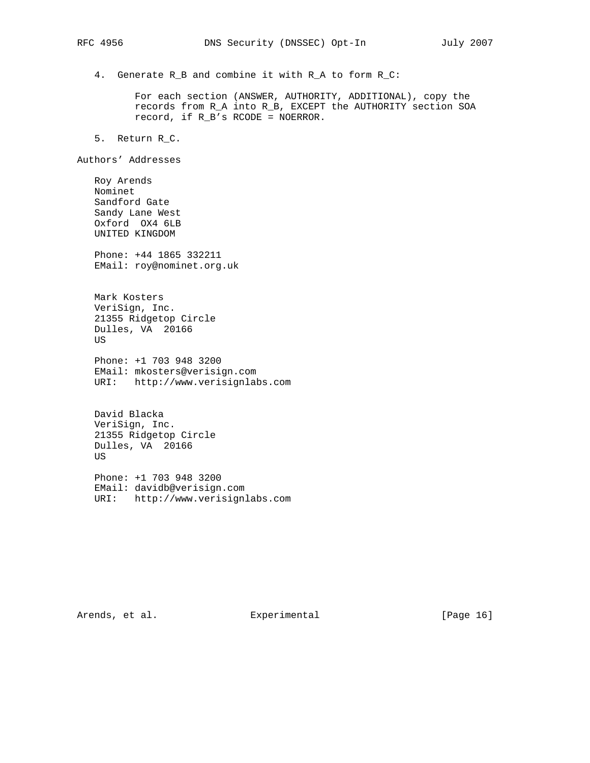4. Generate R\_B and combine it with R\_A to form R\_C:

 For each section (ANSWER, AUTHORITY, ADDITIONAL), copy the records from R\_A into R\_B, EXCEPT the AUTHORITY section SOA record, if R\_B's RCODE = NOERROR.

5. Return R\_C.

Authors' Addresses

 Roy Arends Nominet Sandford Gate Sandy Lane West Oxford OX4 6LB UNITED KINGDOM

 Phone: +44 1865 332211 EMail: roy@nominet.org.uk

 Mark Kosters VeriSign, Inc. 21355 Ridgetop Circle Dulles, VA 20166 US

 Phone: +1 703 948 3200 EMail: mkosters@verisign.com URI: http://www.verisignlabs.com

 David Blacka VeriSign, Inc. 21355 Ridgetop Circle Dulles, VA 20166 US

 Phone: +1 703 948 3200 EMail: davidb@verisign.com URI: http://www.verisignlabs.com

Arends, et al. Experimental [Page 16]